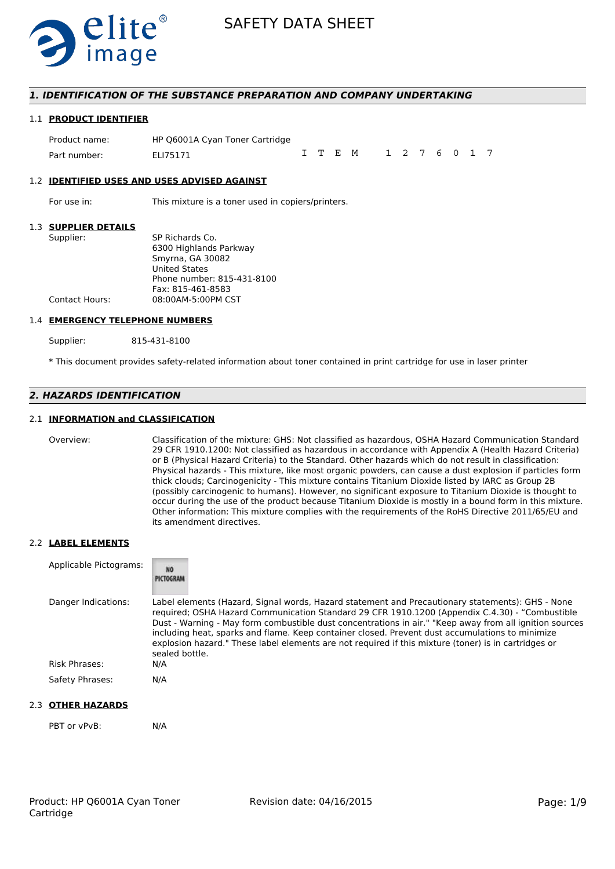

#### *1. IDENTIFICATION OF THE SUBSTANCE PREPARATION AND COMPANY UNDERTAKING*

#### 1.1 **PRODUCT IDENTIFIER**

Product name: HP Q6001A Cyan Toner Cartridge Part number: FLI75171 ITEM 1276017

#### 1.2 **IDENTIFIED USES AND USES ADVISED AGAINST**

For use in: This mixture is a toner used in copiers/printers.

#### 1.3 **SUPPLIER DETAILS**

| Supplier:      | SP Richards Co.            |
|----------------|----------------------------|
|                | 6300 Highlands Parkway     |
|                | Smyrna, GA 30082           |
|                | <b>United States</b>       |
|                | Phone number: 815-431-8100 |
|                | Fax: 815-461-8583          |
| Contact Hours: | 08:00AM-5:00PM CST         |
|                |                            |

#### 1.4 **EMERGENCY TELEPHONE NUMBERS**

Supplier: 815-431-8100

\* This document provides safety-related information about toner contained in print cartridge for use in laser printer

# *2. HAZARDS IDENTIFICATION*

#### 2.1 **INFORMATION and CLASSIFICATION**

Overview: Classification of the mixture: GHS: Not classified as hazardous, OSHA Hazard Communication Standard 29 CFR 1910.1200: Not classified as hazardous in accordance with Appendix A (Health Hazard Criteria) or B (Physical Hazard Criteria) to the Standard. Other hazards which do not result in classification: Physical hazards - This mixture, like most organic powders, can cause a dust explosion if particles form thick clouds; Carcinogenicity - This mixture contains Titanium Dioxide listed by IARC as Group 2B (possibly carcinogenic to humans). However, no significant exposure to Titanium Dioxide is thought to occur during the use of the product because Titanium Dioxide is mostly in a bound form in this mixture. Other information: This mixture complies with the requirements of the RoHS Directive 2011/65/EU and its amendment directives.

#### 2.2 **LABEL ELEMENTS**

| Applicable Pictograms: | <b>NO</b><br>PICTOGRAM                                                                                                                                                                                                                                                                                                                                                                                                                                                                                                                     |
|------------------------|--------------------------------------------------------------------------------------------------------------------------------------------------------------------------------------------------------------------------------------------------------------------------------------------------------------------------------------------------------------------------------------------------------------------------------------------------------------------------------------------------------------------------------------------|
| Danger Indications:    | Label elements (Hazard, Signal words, Hazard statement and Precautionary statements): GHS - None<br>required; OSHA Hazard Communication Standard 29 CFR 1910.1200 (Appendix C.4.30) - "Combustible<br>Dust - Warning - May form combustible dust concentrations in air." "Keep away from all ignition sources<br>including heat, sparks and flame. Keep container closed. Prevent dust accumulations to minimize<br>explosion hazard." These label elements are not required if this mixture (toner) is in cartridges or<br>sealed bottle. |
| Risk Phrases:          | N/A                                                                                                                                                                                                                                                                                                                                                                                                                                                                                                                                        |
| Safety Phrases:        | N/A                                                                                                                                                                                                                                                                                                                                                                                                                                                                                                                                        |

#### 2.3 **OTHER HAZARDS**

PBT or vPvB: N/A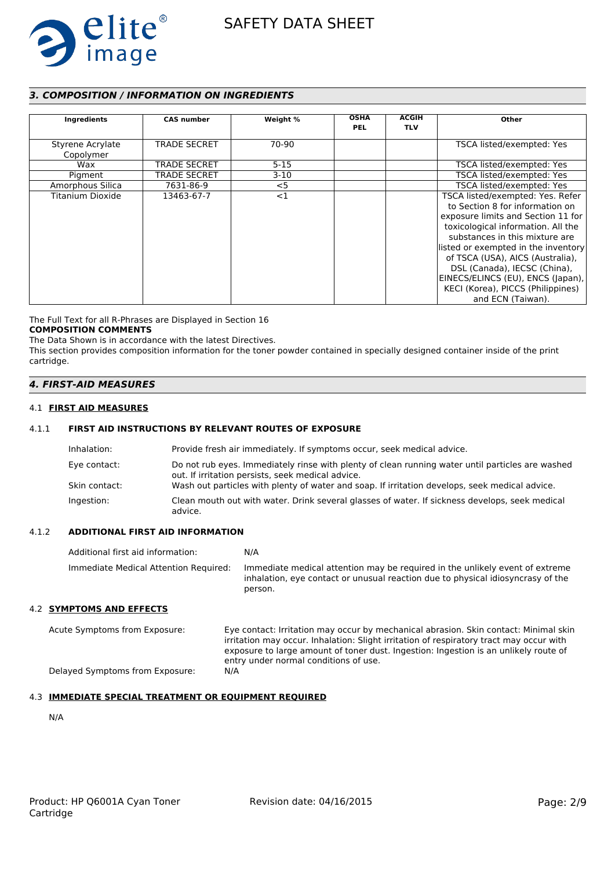

# *3. COMPOSITION / INFORMATION ON INGREDIENTS*

| Ingredients                   | <b>CAS number</b>   | Weight % | <b>OSHA</b><br><b>PEL</b> | <b>ACGIH</b><br><b>TLV</b> | Other                                                                                                                                                                                                                                                                                                                                                                                       |
|-------------------------------|---------------------|----------|---------------------------|----------------------------|---------------------------------------------------------------------------------------------------------------------------------------------------------------------------------------------------------------------------------------------------------------------------------------------------------------------------------------------------------------------------------------------|
| Styrene Acrylate<br>Copolymer | <b>TRADE SECRET</b> | 70-90    |                           |                            | TSCA listed/exempted: Yes                                                                                                                                                                                                                                                                                                                                                                   |
| Wax                           | <b>TRADE SECRET</b> | $5 - 15$ |                           |                            | TSCA listed/exempted: Yes                                                                                                                                                                                                                                                                                                                                                                   |
| Pigment                       | TRADE SECRET        | $3-10$   |                           |                            | TSCA listed/exempted: Yes                                                                                                                                                                                                                                                                                                                                                                   |
| Amorphous Silica              | 7631-86-9           | $<$ 5    |                           |                            | TSCA listed/exempted: Yes                                                                                                                                                                                                                                                                                                                                                                   |
| Titanium Dioxide              | 13463-67-7          | <1       |                           |                            | TSCA listed/exempted: Yes. Refer<br>to Section 8 for information on<br>exposure limits and Section 11 for<br>toxicological information. All the<br>substances in this mixture are<br>listed or exempted in the inventory<br>of TSCA (USA), AICS (Australia),<br>DSL (Canada), IECSC (China),<br>EINECS/ELINCS (EU), ENCS (Japan),<br>KECI (Korea), PICCS (Philippines)<br>and ECN (Taiwan). |

The Full Text for all R-Phrases are Displayed in Section 16 **COMPOSITION COMMENTS**

The Data Shown is in accordance with the latest Directives.

This section provides composition information for the toner powder contained in specially designed container inside of the print cartridge.

### *4. FIRST-AID MEASURES*

#### 4.1 **FIRST AID MEASURES**

#### 4.1.1 **FIRST AID INSTRUCTIONS BY RELEVANT ROUTES OF EXPOSURE**

| Inhalation:   | Provide fresh air immediately. If symptoms occur, seek medical advice.                                                                                |
|---------------|-------------------------------------------------------------------------------------------------------------------------------------------------------|
| Eye contact:  | Do not rub eyes. Immediately rinse with plenty of clean running water until particles are washed<br>out. If irritation persists, seek medical advice. |
| Skin contact: | Wash out particles with plenty of water and soap. If irritation develops, seek medical advice.                                                        |
| Ingestion:    | Clean mouth out with water. Drink several glasses of water. If sickness develops, seek medical<br>advice.                                             |

#### 4.1.2 **ADDITIONAL FIRST AID INFORMATION**

| Additional first aid information:     | N/A                                                                                                                                                                        |
|---------------------------------------|----------------------------------------------------------------------------------------------------------------------------------------------------------------------------|
| Immediate Medical Attention Required: | Immediate medical attention may be required in the unlikely event of extreme<br>inhalation, eye contact or unusual reaction due to physical idiosyncrasy of the<br>person. |
| 4.2 SYMPTOMS AND EFFECTS              |                                                                                                                                                                            |

Acute Symptoms from Exposure: Eye contact: Irritation may occur by mechanical abrasion. Skin contact: Minimal skin irritation may occur. Inhalation: Slight irritation of respiratory tract may occur with exposure to large amount of toner dust. Ingestion: Ingestion is an unlikely route of entry under normal conditions of use. Delayed Symptoms from Exposure: N/A

### 4.3 **IMMEDIATE SPECIAL TREATMENT OR EQUIPMENT REQUIRED**

N/A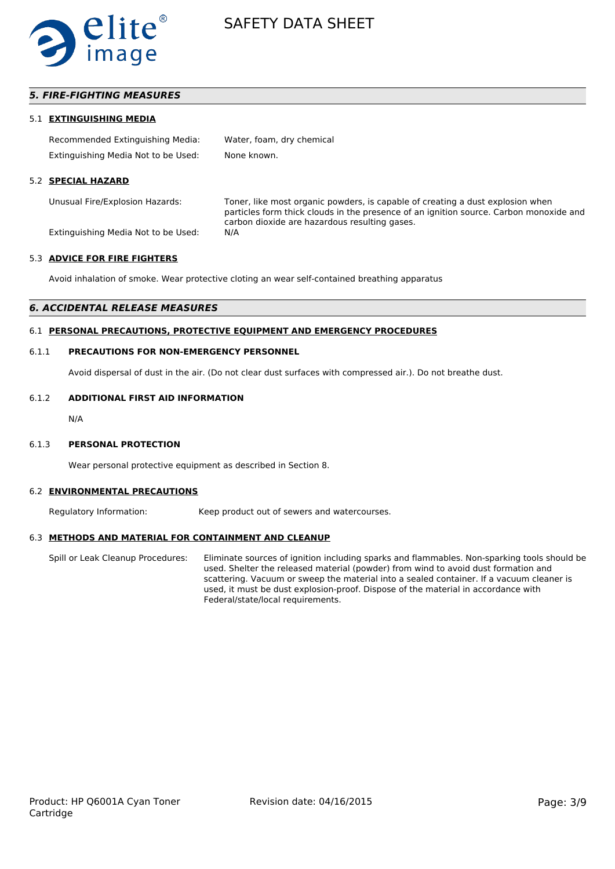

### *5. FIRE-FIGHTING MEASURES*

#### 5.1 **EXTINGUISHING MEDIA**

| Recommended Extinguishing Media:    | Water, foam, dry chemical |
|-------------------------------------|---------------------------|
| Extinguishing Media Not to be Used: | None known.               |

#### 5.2 **SPECIAL HAZARD**

Unusual Fire/Explosion Hazards: Toner, like most organic powders, is capable of creating a dust explosion when particles form thick clouds in the presence of an ignition source. Carbon monoxide and carbon dioxide are hazardous resulting gases.

Extinguishing Media Not to be Used: N/A

#### 5.3 **ADVICE FOR FIRE FIGHTERS**

Avoid inhalation of smoke. Wear protective cloting an wear self-contained breathing apparatus

#### *6. ACCIDENTAL RELEASE MEASURES*

#### 6.1 **PERSONAL PRECAUTIONS, PROTECTIVE EQUIPMENT AND EMERGENCY PROCEDURES**

#### 6.1.1 **PRECAUTIONS FOR NON-EMERGENCY PERSONNEL**

Avoid dispersal of dust in the air. (Do not clear dust surfaces with compressed air.). Do not breathe dust.

#### 6.1.2 **ADDITIONAL FIRST AID INFORMATION**

N/A

#### 6.1.3 **PERSONAL PROTECTION**

Wear personal protective equipment as described in Section 8.

#### 6.2 **ENVIRONMENTAL PRECAUTIONS**

Regulatory Information: Keep product out of sewers and watercourses.

#### 6.3 **METHODS AND MATERIAL FOR CONTAINMENT AND CLEANUP**

Spill or Leak Cleanup Procedures: Eliminate sources of ignition including sparks and flammables. Non-sparking tools should be used. Shelter the released material (powder) from wind to avoid dust formation and scattering. Vacuum or sweep the material into a sealed container. If a vacuum cleaner is used, it must be dust explosion-proof. Dispose of the material in accordance with Federal/state/local requirements.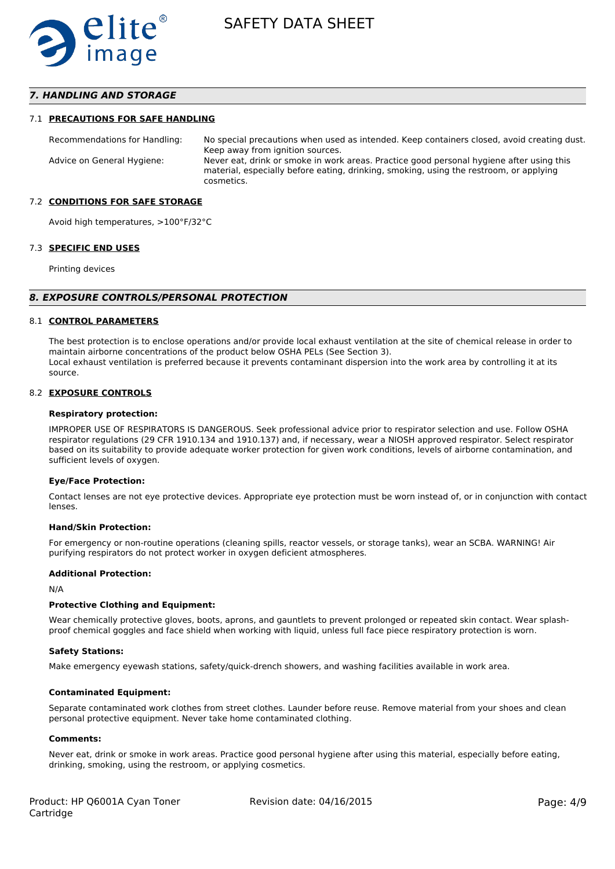

### *7. HANDLING AND STORAGE*

#### 7.1 **PRECAUTIONS FOR SAFE HANDLING**

Recommendations for Handling: No special precautions when used as intended. Keep containers closed, avoid creating dust. Keep away from ignition sources. Advice on General Hygiene: Never eat, drink or smoke in work areas. Practice good personal hygiene after using this material, especially before eating, drinking, smoking, using the restroom, or applying cosmetics.

#### 7.2 **CONDITIONS FOR SAFE STORAGE**

Avoid high temperatures, >100°F/32°C

#### 7.3 **SPECIFIC END USES**

Printing devices

#### *8. EXPOSURE CONTROLS/PERSONAL PROTECTION*

#### 8.1 **CONTROL PARAMETERS**

The best protection is to enclose operations and/or provide local exhaust ventilation at the site of chemical release in order to maintain airborne concentrations of the product below OSHA PELs (See Section 3). Local exhaust ventilation is preferred because it prevents contaminant dispersion into the work area by controlling it at its source.

#### 8.2 **EXPOSURE CONTROLS**

#### **Respiratory protection:**

IMPROPER USE OF RESPIRATORS IS DANGEROUS. Seek professional advice prior to respirator selection and use. Follow OSHA respirator regulations (29 CFR 1910.134 and 1910.137) and, if necessary, wear a NIOSH approved respirator. Select respirator based on its suitability to provide adequate worker protection for given work conditions, levels of airborne contamination, and sufficient levels of oxygen.

#### **Eye/Face Protection:**

Contact lenses are not eye protective devices. Appropriate eye protection must be worn instead of, or in conjunction with contact lenses.

#### **Hand/Skin Protection:**

For emergency or non-routine operations (cleaning spills, reactor vessels, or storage tanks), wear an SCBA. WARNING! Air purifying respirators do not protect worker in oxygen deficient atmospheres.

#### **Additional Protection:**

N/A

#### **Protective Clothing and Equipment:**

Wear chemically protective gloves, boots, aprons, and gauntlets to prevent prolonged or repeated skin contact. Wear splashproof chemical goggles and face shield when working with liquid, unless full face piece respiratory protection is worn.

#### **Safety Stations:**

Make emergency eyewash stations, safety/quick-drench showers, and washing facilities available in work area.

#### **Contaminated Equipment:**

Separate contaminated work clothes from street clothes. Launder before reuse. Remove material from your shoes and clean personal protective equipment. Never take home contaminated clothing.

#### **Comments:**

Never eat, drink or smoke in work areas. Practice good personal hygiene after using this material, especially before eating, drinking, smoking, using the restroom, or applying cosmetics.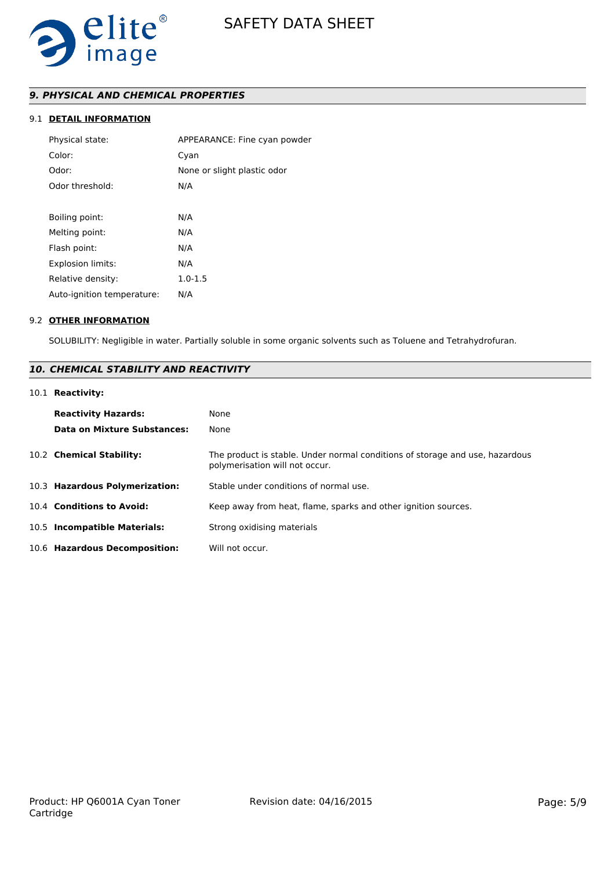

# *9. PHYSICAL AND CHEMICAL PROPERTIES*

### 9.1 **DETAIL INFORMATION**

| Physical state:            | APPEARANCE: Fine cyan powder |
|----------------------------|------------------------------|
| Color:                     | Cyan                         |
| Odor:                      | None or slight plastic odor  |
| Odor threshold:            | N/A                          |
|                            |                              |
| Boiling point:             | N/A                          |
| Melting point:             | N/A                          |
| Flash point:               | N/A                          |
| <b>Explosion limits:</b>   | N/A                          |
| Relative density:          | $1.0 - 1.5$                  |
| Auto-ignition temperature: | N/A                          |
|                            |                              |

#### 9.2 **OTHER INFORMATION**

SOLUBILITY: Negligible in water. Partially soluble in some organic solvents such as Toluene and Tetrahydrofuran.

# *10. CHEMICAL STABILITY AND REACTIVITY*

### 10.1 **Reactivity:**

| <b>Reactivity Hazards:</b><br>Data on Mixture Substances: | None<br>None                                                                                                   |
|-----------------------------------------------------------|----------------------------------------------------------------------------------------------------------------|
| 10.2 Chemical Stability:                                  | The product is stable. Under normal conditions of storage and use, hazardous<br>polymerisation will not occur. |
| 10.3 Hazardous Polymerization:                            | Stable under conditions of normal use.                                                                         |
| 10.4 Conditions to Avoid:                                 | Keep away from heat, flame, sparks and other ignition sources.                                                 |
| 10.5 Incompatible Materials:                              | Strong oxidising materials                                                                                     |
| 10.6 Hazardous Decomposition:                             | Will not occur.                                                                                                |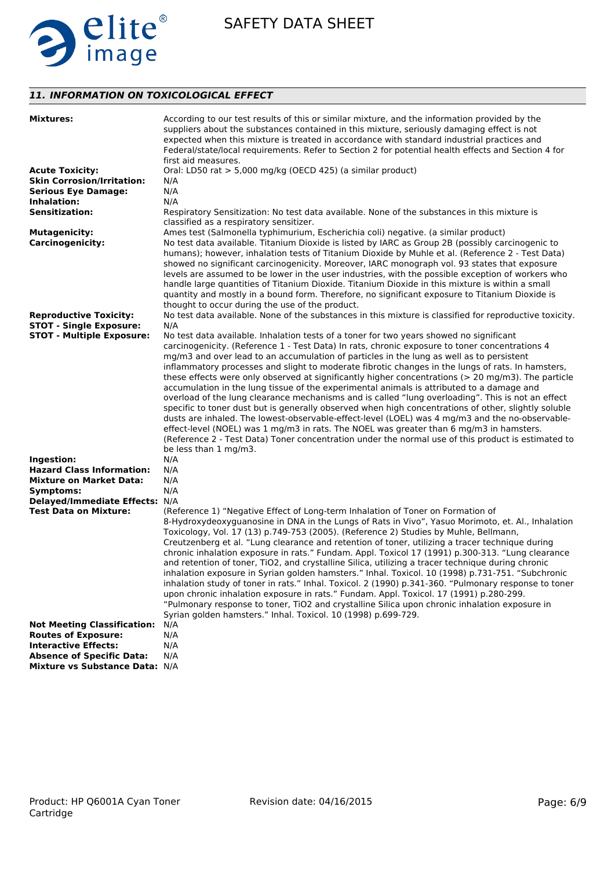

# *11. INFORMATION ON TOXICOLOGICAL EFFECT*

| <b>Mixtures:</b>                                               | According to our test results of this or similar mixture, and the information provided by the<br>suppliers about the substances contained in this mixture, seriously damaging effect is not<br>expected when this mixture is treated in accordance with standard industrial practices and<br>Federal/state/local requirements. Refer to Section 2 for potential health effects and Section 4 for<br>first aid measures.                                                                                                                                                                                                                                                                                                                                                                                                                                                                                                                                                                                                                                                                                                                           |
|----------------------------------------------------------------|---------------------------------------------------------------------------------------------------------------------------------------------------------------------------------------------------------------------------------------------------------------------------------------------------------------------------------------------------------------------------------------------------------------------------------------------------------------------------------------------------------------------------------------------------------------------------------------------------------------------------------------------------------------------------------------------------------------------------------------------------------------------------------------------------------------------------------------------------------------------------------------------------------------------------------------------------------------------------------------------------------------------------------------------------------------------------------------------------------------------------------------------------|
| <b>Acute Toxicity:</b>                                         | Oral: LD50 rat > 5,000 mg/kg (OECD 425) (a similar product)                                                                                                                                                                                                                                                                                                                                                                                                                                                                                                                                                                                                                                                                                                                                                                                                                                                                                                                                                                                                                                                                                       |
| <b>Skin Corrosion/Irritation:</b>                              | N/A                                                                                                                                                                                                                                                                                                                                                                                                                                                                                                                                                                                                                                                                                                                                                                                                                                                                                                                                                                                                                                                                                                                                               |
| <b>Serious Eye Damage:</b>                                     | N/A                                                                                                                                                                                                                                                                                                                                                                                                                                                                                                                                                                                                                                                                                                                                                                                                                                                                                                                                                                                                                                                                                                                                               |
| Inhalation:                                                    | N/A                                                                                                                                                                                                                                                                                                                                                                                                                                                                                                                                                                                                                                                                                                                                                                                                                                                                                                                                                                                                                                                                                                                                               |
| <b>Sensitization:</b>                                          | Respiratory Sensitization: No test data available. None of the substances in this mixture is<br>classified as a respiratory sensitizer.                                                                                                                                                                                                                                                                                                                                                                                                                                                                                                                                                                                                                                                                                                                                                                                                                                                                                                                                                                                                           |
| <b>Mutagenicity:</b>                                           | Ames test (Salmonella typhimurium, Escherichia coli) negative. (a similar product)                                                                                                                                                                                                                                                                                                                                                                                                                                                                                                                                                                                                                                                                                                                                                                                                                                                                                                                                                                                                                                                                |
| <b>Carcinogenicity:</b>                                        | No test data available. Titanium Dioxide is listed by IARC as Group 2B (possibly carcinogenic to<br>humans); however, inhalation tests of Titanium Dioxide by Muhle et al. (Reference 2 - Test Data)<br>showed no significant carcinogenicity. Moreover, IARC monograph vol. 93 states that exposure<br>levels are assumed to be lower in the user industries, with the possible exception of workers who<br>handle large quantities of Titanium Dioxide. Titanium Dioxide in this mixture is within a small<br>quantity and mostly in a bound form. Therefore, no significant exposure to Titanium Dioxide is<br>thought to occur during the use of the product.                                                                                                                                                                                                                                                                                                                                                                                                                                                                                 |
| <b>Reproductive Toxicity:</b>                                  | No test data available. None of the substances in this mixture is classified for reproductive toxicity.                                                                                                                                                                                                                                                                                                                                                                                                                                                                                                                                                                                                                                                                                                                                                                                                                                                                                                                                                                                                                                           |
| <b>STOT - Single Exposure:</b>                                 | N/A                                                                                                                                                                                                                                                                                                                                                                                                                                                                                                                                                                                                                                                                                                                                                                                                                                                                                                                                                                                                                                                                                                                                               |
| <b>STOT - Multiple Exposure:</b><br>Ingestion:                 | No test data available. Inhalation tests of a toner for two years showed no significant<br>carcinogenicity. (Reference 1 - Test Data) In rats, chronic exposure to toner concentrations 4<br>mg/m3 and over lead to an accumulation of particles in the lung as well as to persistent<br>inflammatory processes and slight to moderate fibrotic changes in the lungs of rats. In hamsters,<br>these effects were only observed at significantly higher concentrations ( $>$ 20 mg/m3). The particle<br>accumulation in the lung tissue of the experimental animals is attributed to a damage and<br>overload of the lung clearance mechanisms and is called "lung overloading". This is not an effect<br>specific to toner dust but is generally observed when high concentrations of other, slightly soluble<br>dusts are inhaled. The lowest-observable-effect-level (LOEL) was 4 mg/m3 and the no-observable-<br>effect-level (NOEL) was 1 mg/m3 in rats. The NOEL was greater than 6 mg/m3 in hamsters.<br>(Reference 2 - Test Data) Toner concentration under the normal use of this product is estimated to<br>be less than 1 mg/m3.<br>N/A |
| <b>Hazard Class Information:</b>                               | N/A                                                                                                                                                                                                                                                                                                                                                                                                                                                                                                                                                                                                                                                                                                                                                                                                                                                                                                                                                                                                                                                                                                                                               |
| <b>Mixture on Market Data:</b>                                 | N/A                                                                                                                                                                                                                                                                                                                                                                                                                                                                                                                                                                                                                                                                                                                                                                                                                                                                                                                                                                                                                                                                                                                                               |
| Symptoms:                                                      | N/A                                                                                                                                                                                                                                                                                                                                                                                                                                                                                                                                                                                                                                                                                                                                                                                                                                                                                                                                                                                                                                                                                                                                               |
| Delayed/Immediate Effects: N/A<br><b>Test Data on Mixture:</b> | (Reference 1) "Negative Effect of Long-term Inhalation of Toner on Formation of<br>8-Hydroxydeoxyguanosine in DNA in the Lungs of Rats in Vivo", Yasuo Morimoto, et. Al., Inhalation<br>Toxicology, Vol. 17 (13) p.749-753 (2005). (Reference 2) Studies by Muhle, Bellmann,<br>Creutzenberg et al. "Lung clearance and retention of toner, utilizing a tracer technique during<br>chronic inhalation exposure in rats." Fundam. Appl. Toxicol 17 (1991) p.300-313. "Lung clearance<br>and retention of toner, TiO2, and crystalline Silica, utilizing a tracer technique during chronic<br>inhalation exposure in Syrian golden hamsters." Inhal. Toxicol. 10 (1998) p.731-751. "Subchronic<br>inhalation study of toner in rats." Inhal. Toxicol. 2 (1990) p.341-360. "Pulmonary response to toner<br>upon chronic inhalation exposure in rats." Fundam. Appl. Toxicol. 17 (1991) p.280-299.<br>"Pulmonary response to toner, TiO2 and crystalline Silica upon chronic inhalation exposure in<br>Syrian golden hamsters." Inhal. Toxicol. 10 (1998) p.699-729.                                                                                  |
| <b>Not Meeting Classification:</b>                             | N/A                                                                                                                                                                                                                                                                                                                                                                                                                                                                                                                                                                                                                                                                                                                                                                                                                                                                                                                                                                                                                                                                                                                                               |
| <b>Routes of Exposure:</b>                                     | N/A                                                                                                                                                                                                                                                                                                                                                                                                                                                                                                                                                                                                                                                                                                                                                                                                                                                                                                                                                                                                                                                                                                                                               |
| <b>Interactive Effects:</b>                                    | N/A                                                                                                                                                                                                                                                                                                                                                                                                                                                                                                                                                                                                                                                                                                                                                                                                                                                                                                                                                                                                                                                                                                                                               |
| <b>Absence of Specific Data:</b>                               | N/A                                                                                                                                                                                                                                                                                                                                                                                                                                                                                                                                                                                                                                                                                                                                                                                                                                                                                                                                                                                                                                                                                                                                               |
| Mixture vs Substance Data: N/A                                 |                                                                                                                                                                                                                                                                                                                                                                                                                                                                                                                                                                                                                                                                                                                                                                                                                                                                                                                                                                                                                                                                                                                                                   |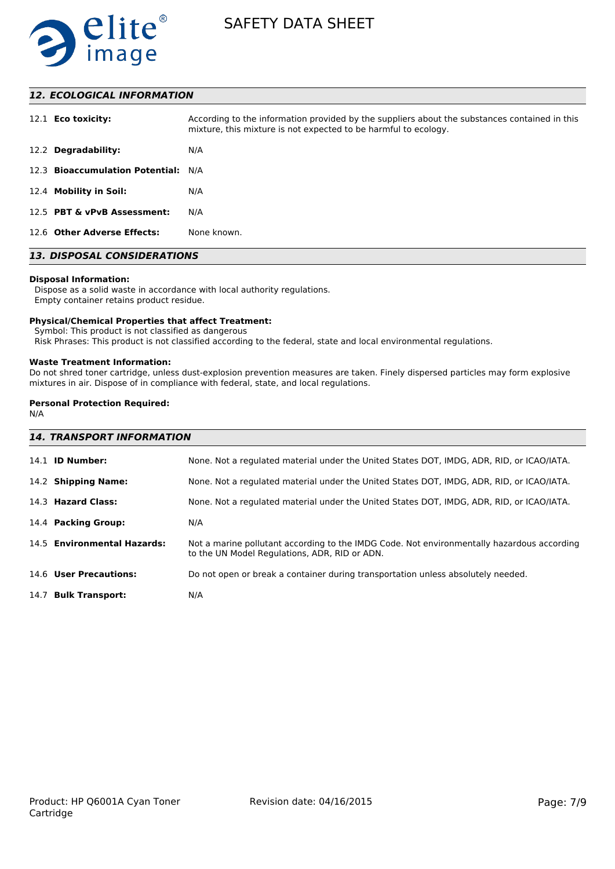

### *12. ECOLOGICAL INFORMATION*

| 12.1 <b>Eco toxicity:</b>           | According to the information provided by the suppliers about the substances contained in this<br>mixture, this mixture is not expected to be harmful to ecology. |
|-------------------------------------|------------------------------------------------------------------------------------------------------------------------------------------------------------------|
| 12.2 Degradability:                 | N/A                                                                                                                                                              |
| 12.3 Bioaccumulation Potential: N/A |                                                                                                                                                                  |
| 12.4 Mobility in Soil:              | N/A                                                                                                                                                              |
| 12.5 PBT & vPvB Assessment:         | N/A                                                                                                                                                              |
| 12.6 Other Adverse Effects:         | None known.                                                                                                                                                      |

# *13. DISPOSAL CONSIDERATIONS*

#### **Disposal Information:**

 Dispose as a solid waste in accordance with local authority regulations. Empty container retains product residue.

#### **Physical/Chemical Properties that affect Treatment:**

Symbol: This product is not classified as dangerous

Risk Phrases: This product is not classified according to the federal, state and local environmental regulations.

#### **Waste Treatment Information:**

Do not shred toner cartridge, unless dust-explosion prevention measures are taken. Finely dispersed particles may form explosive mixtures in air. Dispose of in compliance with federal, state, and local regulations.

### **Personal Protection Required:**

N/A

| <b>14. TRANSPORT INFORMATION</b> |                                                                                                                                             |  |
|----------------------------------|---------------------------------------------------------------------------------------------------------------------------------------------|--|
| 14.1 <b>ID Number:</b>           | None. Not a regulated material under the United States DOT, IMDG, ADR, RID, or ICAO/IATA.                                                   |  |
| 14.2 Shipping Name:              | None. Not a regulated material under the United States DOT, IMDG, ADR, RID, or ICAO/IATA.                                                   |  |
| 14.3 Hazard Class:               | None. Not a regulated material under the United States DOT, IMDG, ADR, RID, or ICAO/IATA.                                                   |  |
| 14.4 Packing Group:              | N/A                                                                                                                                         |  |
| 14.5 Environmental Hazards:      | Not a marine pollutant according to the IMDG Code. Not environmentally hazardous according<br>to the UN Model Regulations, ADR, RID or ADN. |  |
| 14.6 User Precautions:           | Do not open or break a container during transportation unless absolutely needed.                                                            |  |
| 14.7 Bulk Transport:             | N/A                                                                                                                                         |  |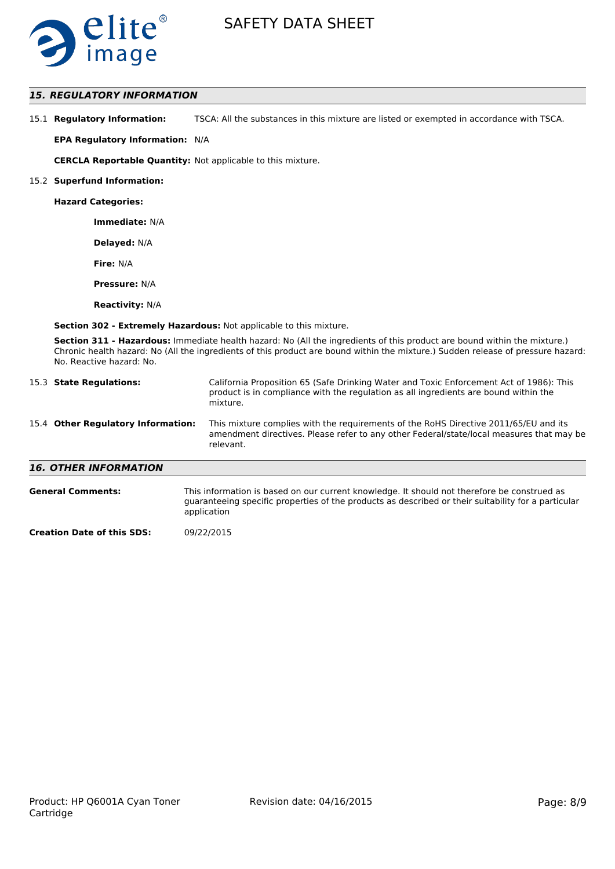

# *15. REGULATORY INFORMATION*

| 15.1 Regulatory Information: | TSCA: All the substances in this mixture are listed or exempted in accordance with TSCA. |
|------------------------------|------------------------------------------------------------------------------------------|
|------------------------------|------------------------------------------------------------------------------------------|

**EPA Regulatory Information:** N/A

**CERCLA Reportable Quantity:** Not applicable to this mixture.

#### 15.2 **Superfund Information:**

**Hazard Categories:**

**Immediate:** N/A

**Delayed:** N/A

**Fire:** N/A

**Pressure:** N/A

**Reactivity:** N/A

**Section 302 - Extremely Hazardous:** Not applicable to this mixture.

**Section 311 - Hazardous:** Immediate health hazard: No (All the ingredients of this product are bound within the mixture.) Chronic health hazard: No (All the ingredients of this product are bound within the mixture.) Sudden release of pressure hazard: No. Reactive hazard: No.

| 15.3 State Regulations:            | California Proposition 65 (Safe Drinking Water and Toxic Enforcement Act of 1986): This<br>product is in compliance with the regulation as all ingredients are bound within the<br>mixture.   |
|------------------------------------|-----------------------------------------------------------------------------------------------------------------------------------------------------------------------------------------------|
| 15.4 Other Regulatory Information: | This mixture complies with the requirements of the RoHS Directive 2011/65/EU and its<br>amendment directives. Please refer to any other Federal/state/local measures that may be<br>relevant. |
| <b>16. OTHER INFORMATION</b>       |                                                                                                                                                                                               |
| <b>General Comments:</b>           | This information is based on our current knowledge. It should not therefore be construed as                                                                                                   |

| <br>This implified on subcurst care another who meager it should not therefore be constructed       |
|-----------------------------------------------------------------------------------------------------|
| guaranteeing specific properties of the products as described or their suitability for a particular |
| application                                                                                         |
|                                                                                                     |

**Creation Date of this SDS:** 09/22/2015